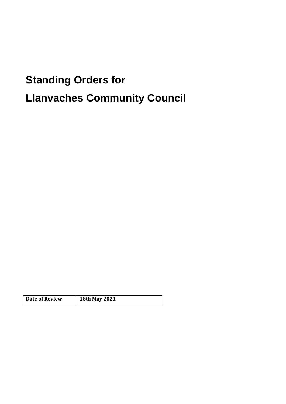# **Standing Orders for Llanvaches Community Council**

| <b>Date of Review</b> | 18th May 2021 |
|-----------------------|---------------|
|                       |               |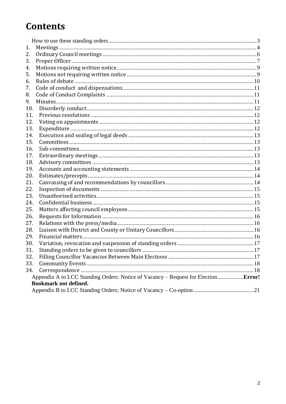### **Contents**

| 1.                           |                                                                             |  |
|------------------------------|-----------------------------------------------------------------------------|--|
| 2.                           |                                                                             |  |
| 3.                           |                                                                             |  |
| 4.                           |                                                                             |  |
| 5.                           |                                                                             |  |
| 6.                           |                                                                             |  |
| 7.                           |                                                                             |  |
| 8.                           |                                                                             |  |
| 9.                           |                                                                             |  |
| 10.                          |                                                                             |  |
| 11.                          |                                                                             |  |
| 12.                          |                                                                             |  |
| 13.                          |                                                                             |  |
| 14.                          |                                                                             |  |
| 15.                          |                                                                             |  |
| 16.                          |                                                                             |  |
| 17.                          |                                                                             |  |
| 18.                          |                                                                             |  |
| 19.                          |                                                                             |  |
| 20.                          |                                                                             |  |
| 21.                          |                                                                             |  |
| 22.                          |                                                                             |  |
| 23.                          |                                                                             |  |
| 24.                          |                                                                             |  |
| 25.                          |                                                                             |  |
| 26.                          |                                                                             |  |
| 27.                          |                                                                             |  |
| 28.                          |                                                                             |  |
| 29.                          |                                                                             |  |
| 30.                          |                                                                             |  |
| 31.                          |                                                                             |  |
| 32.                          |                                                                             |  |
| 33.                          |                                                                             |  |
| 34.                          |                                                                             |  |
|                              | Appendix A to LCC Standing Orders: Notice of Vacancy – Request for Election |  |
| <b>Bookmark not defined.</b> |                                                                             |  |
|                              |                                                                             |  |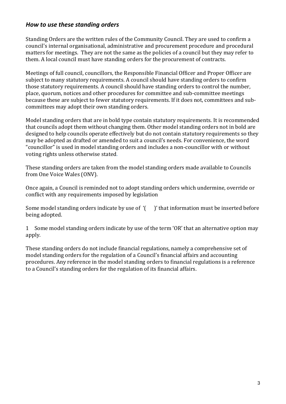#### *How to use these standing orders*

Standing Orders are the written rules of the Community Council. They are used to confirm a council's internal organisational, administrative and procurement procedure and procedural matters for meetings. They are not the same as the policies of a council but they may refer to them. A local council must have standing orders for the procurement of contracts.

Meetings of full council, councillors, the Responsible Financial Officer and Proper Officer are subject to many statutory requirements. A council should have standing orders to confirm those statutory requirements. A council should have standing orders to control the number, place, quorum, notices and other procedures for committee and sub-committee meetings because these are subject to fewer statutory requirements. If it does not, committees and subcommittees may adopt their own standing orders.

Model standing orders that are in bold type contain statutory requirements. It is recommended that councils adopt them without changing them. Other model standing orders not in bold are designed to help councils operate effectively but do not contain statutory requirements so they may be adopted as drafted or amended to suit a council's needs. For convenience, the word "councillor" is used in model standing orders and includes a non-councillor with or without voting rights unless otherwise stated.

These standing orders are taken from the model standing orders made available to Councils from One Voice Wales (ONV).

Once again, a Council is reminded not to adopt standing orders which undermine, override or conflict with any requirements imposed by legislation

Some model standing orders indicate by use of  $($   $)$ ' that information must be inserted before being adopted.

1 Some model standing orders indicate by use of the term 'OR' that an alternative option may apply.

These standing orders do not include financial regulations, namely a comprehensive set of model standing orders for the regulation of a Council's financial affairs and accounting procedures. Any reference in the model standing orders to financial regulations is a reference to a Council's standing orders for the regulation of its financial affairs.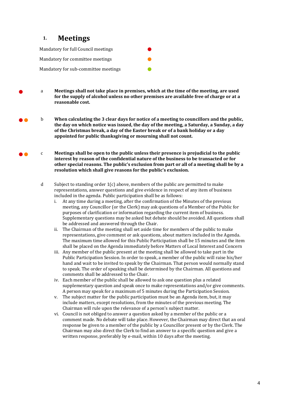#### **1. Meetings**

Mandatory for full Council meetings Mandatory for committee meetings Mandatory for sub-committee meetings

- <sup>a</sup> **Meetings shall not take place in premises, which at the time of the meeting, are used for the supply of alcohol unless no other premises are available free of charge or at a reasonable cost.**
- b **When calculating the 3 clear days for notice of a meeting to councillors and the public, the day on which notice was issued, the day of the meeting, a Saturday, a Sunday, a day of the Christmas break, a day of the Easter break or of a bank holiday or a day appointed for public thanksgiving or mourning shall not count.**
- ●● <sup>c</sup> **Meetings shall be open to the public unless their presence is prejudicial to the public interest by reason of the confidential nature of the business to be transacted or for other special reasons. The public's exclusion from part or all of a meeting shall be by a resolution which shall give reasons for the public's exclusion.**
	- d Subject to standing order  $1(c)$  above, members of the public are permitted to make representations, answer questions and give evidence in respect of any item of business included in the agenda. Public participation shall be as follows:
		- i. At any time during a meeting, after the confirmation of the Minutes of the previous meeting, any Councillor (or the Clerk) may ask questions of a Member of the Public for purposes of clarification or information regarding the current item of business. Supplementary questions may be asked but debate should be avoided. All questions shall be addressed and answered through the Chair.
		- ii. The Chairman of the meeting shall set aside time for members of the public to make representations, give comment or ask questions, about matters included in the Agenda. The maximum time allowed for this Public Participation shall be 15 minutes and the item shall be placed on the Agenda immediately before Matters of Local Interest and Concern
		- iii. Any member of the public present at the meeting shall be allowed to take part in the Public Participation Session. In order to speak, a member of the public will raise his/her hand and wait to be invited to speak by the Chairman. That person would normally stand to speak. The order of speaking shall be determined by the Chairman. All questions and comments shall be addressed to the Chair.
		- iv. Each member of the public shall be allowed to ask one question plus a related supplementary question and speak once to make representations and/or give comments. A person may speak for a maximum of 5 minutes during the Participation Session.
		- v. The subject matter for the public participation must be an Agenda item, but, it may include matters, except resolutions, from the minutes of the previous meeting. The Chairman will rule upon the relevance of a person's subject matter.
		- vi. Council is not obliged to answer a question asked by a member of the public or a comment made. No debate will take place. However, the Chairman may direct that an oral response be given to a member of the public by a Councillor present or by the Clerk. The Chairman may also direct the Clerk to find an answer to a specific question and give a written response, preferably by e-mail, within 10 days after the meeting.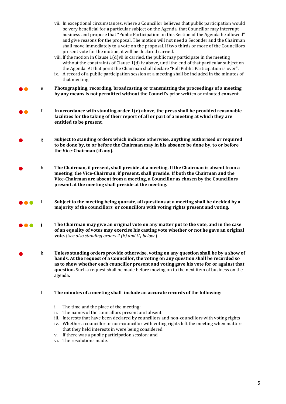- vii. In exceptional circumstances, where a Councillor believes that public participation would be very beneficial for a particular subject on the Agenda, that Councillor may interrupt business and propose that "Public Participation on this Section of the Agenda be allowed" and give reasons for the proposal. The motion will not need a Seconder and the Chairman shall move immediately to a vote on the proposal. If two thirds or more of the Councillors present vote for the motion, it will be declared carried.
- viii. If the motion in Clause 1(d)vii is carried, the public may participate in the meeting without the constraints of Clause 1(d) iv above, until the end of that particular subject on the Agenda. At that point the Chairman shall declare "Full Public Participation is over".
- ix. A record of a public participation session at a meeting shall be included in the minutes of that meeting.
- ●● <sup>e</sup> **Photographing, recording, broadcasting or transmitting the proceedings of a meeting by any means is not permitted without the Council's** prior written or minuted **consent**.
- ●● <sup>f</sup> **In accordance with standing order 1(c) above, the press shall be provided reasonable facilities for the taking of their report of all or part of a meeting at which they are entitled to be present**.
	- <sup>g</sup> **Subject to standing orders which indicate otherwise, anything authorised or required to be done by, to or before the Chairman may in his absence be done by, to or before the Vice-Chairman (if any).**
- <sup>h</sup> **The Chairman, if present, shall preside at a meeting. If the Chairman is absent from a meeting, the Vice-Chairman, if present, shall preside. If both the Chairman and the Vice-Chairman are absent from a meeting, a Councillor as chosen by the Councillors present at the meeting shall preside at the meeting.**
- ●●● <sup>i</sup> **Subject to the meeting being quorate, all questions at a meeting shall be decided by a majority of the councillors or councillors with voting rights present and voting.**
- ●●● **<sup>j</sup> The Chairman may give an original vote on any matter put to the vote, and in the case of an equality of votes may exercise his casting vote whether or not he gave an original vote.** (*See also standing orders 2 (k) and (l) below.*)
- <sup>k</sup> **Unless standing orders provide otherwise, voting on any question shall be by a show of hands. At the request of a Councillor, the voting on any question shall be recorded so as to show whether each councillor present and voting gave his vote for or against that question.** Such a request shall be made before moving on to the next item of business on the agenda.
	- l **The minutes of a meeting shall include an accurate records of the following:** 
		- i. The time and the place of the meeting;
		- ii. The names of the councillors present and absent
		- iii. Interests that have been declared by councillors and non-councillors with voting rights
		- iv. Whether a councillor or non-councillor with voting rights left the meeting when matters that they held interests in were being considered
		- v. If there was a public participation session; and
		- vi. The resolutions made.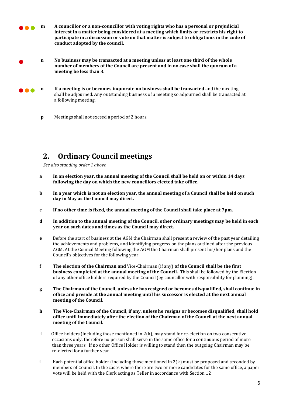●●● **m A councillor or a non-councillor with voting rights who has a personal or prejudicial interest in a matter being considered at a meeting which limits or restricts his right to participate in a discussion or vote on that matter is subject to obligations in the code of conduct adopted by the council.** 

- **n No business may be transacted at a meeting unless at least one third of the whole number of members of the Council are present and in no case shall the quorum of a meeting be less than 3.**
- ●●● **o If a meeting is or becomes inquorate no business shall be transacted** and the meeting shall be adjourned. Any outstanding business of a meeting so adjourned shall be transacted at a following meeting.
	- **p** Meetings shall not exceed a period of 2 hours.

#### **2. Ordinary Council meetings**

*See also standing order 1 above*

- **a In an election year, the annual meeting of the Council shall be held on or within 14 days following the day on which the new councillors elected take office.**
- **b In a year which is not an election year, the annual meeting of a Council shall be held on such day in May as the Council may direct.**
- **c If no other time is fixed, the annual meeting of the Council shall take place at 7pm.**
- **d In addition to the annual meeting of the Council, other ordinary meetings may be held in each year on such dates and times as the Council may direct.**
- **e** Before the start of business at the AGM the Chairman shall present a review of the past year detailing the achievements and problems, and identifying progress on the plans outlined after the previous AGM. At the Council Meeting following the AGM the Chairman shall present his/her plans and the Council's objectives for the following year
- **f The election of the Chairman and** Vice-Chairman (if any) **of the Council shall be the first business completed at the annual meeting of the Council.** This shall be followed by the Election of any other office holders required by the Council (eg councillor with responsibility for planning).
- **g The Chairman of the Council, unless he has resigned or becomes disqualified, shall continue in office and preside at the annual meeting until his successor is elected at the next annual meeting of the Council.**
- **h The Vice-Chairman of the Council, if any, unless he resigns or becomes disqualified, shall hold office until immediately after the election of the Chairman of the Council at the next annual meeting of the Council.**
- i Office holders (including those mentioned in 2(k), may stand for re-election on two consecutive occasions only, therefore no person shall serve in the same office for a continuous period of more than three years. If no other Office Holder is willing to stand then the outgoing Chairman may be re-elected for a further year.
- i Each potential office holder (including those mentioned in  $2(k)$  must be proposed and seconded by members of Council. In the cases where there are two or more candidates for the same office, a paper vote will be held with the Clerk acting as Teller in accordance with Section 12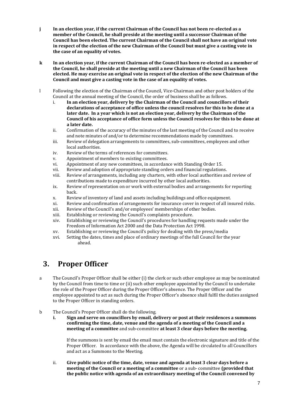- **j In an election year, if the current Chairman of the Council has not been re-elected as a member of the Council, he shall preside at the meeting until a successor Chairman of the Council has been elected. The current Chairman of the Council shall not have an original vote in respect of the election of the new Chairman of the Council but must give a casting vote in the case of an equality of votes.**
- **k In an election year, if the current Chairman of the Council has been re-elected as a member of the Council, he shall preside at the meeting until a new Chairman of the Council has been elected. He may exercise an original vote in respect of the election of the new Chairman of the Council and must give a casting vote in the case of an equality of votes.**
- l Following the election of the Chairman of the Council, Vice-Chairman and other post holders of the Council at the annual meeting of the Council, the order of business shall be as follows.
	- i. **In an election year, delivery by the Chairman of the Council and councillors of their declarations of acceptance of office unless the council resolves for this to be done at a later date. In a year which is not an election year, delivery by the Chairman of the Council of his acceptance of office form unless the Council resolves for this to be done at a later date.**
	- ii. Confirmation of the accuracy of the minutes of the last meeting of the Council and to receive and note minutes of and/or to determine recommendations made by committees.
	- iii. Review of delegation arrangements to committees, sub-committees, employees and other local authorities.
	- iv. Review of the terms of references for committees.
	- v. Appointment of members to existing committees.
	- vi. Appointment of any new committees, in accordance with Standing Order 15.
	- vii. Review and adoption of appropriate standing orders and financial regulations.
	- viii. Review of arrangements, including any charters, with other local authorities and review of contributions made to expenditure incurred by other local authorities.
	- ix. Review of representation on or work with external bodies and arrangements for reporting back.
	- x. Review of inventory of land and assets including buildings and office equipment.
	- xi. Review and confirmation of arrangements for insurance cover in respect of all insured risks.
	- xii. Review of the Council's and/or employees' memberships of other bodies.
	- xiii. Establishing or reviewing the Council's complaints procedure.
	- xiv. Establishing or reviewing the Council's procedures for handling requests made under the Freedom of Information Act 2000 and the Data Protection Act 1998.
	- xv. Establishing or reviewing the Council's policy for dealing with the press/media
	- xvi. Setting the dates, times and place of ordinary meetings of the full Council for the year ahead.

#### **3. Proper Officer**

a The Council's Proper Officer shall be either (i) the clerk or such other employee as may be nominated by the Council from time to time or (ii) such other employee appointed by the Council to undertake the role of the Proper Officer during the Proper Officer's absence. The Proper Officer and the employee appointed to act as such during the Proper Officer's absence shall fulfil the duties assigned to the Proper Officer in standing orders.

- b The Council's Proper Officer shall do the following.
	- **i. Sign and serve on councillors by email, delivery or post at their residences a summons confirming the time, date, venue and the agenda of a meeting of the Council and a meeting of a committee** and sub-committee **at least 3 clear days before the meeting.**

If the summons is sent by email the email must contain the electronic signature and title of the Proper Officer. In accordance with the above, the Agenda will be circulated to all Councillors and act as a Summons to the Meeting.

ii. **Give public notice of the time, date, venue and agenda at least 3 clear days before a meeting of the Council or a meeting of a committee** or a sub- committee **(provided that the public notice with agenda of an extraordinary meeting of the Council convened by**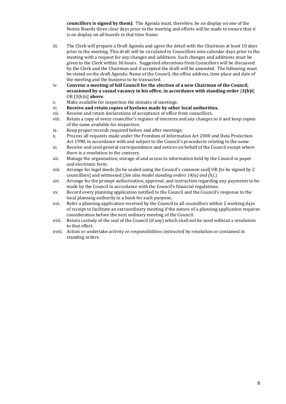**councillors is signed by them)**. The Agenda must, therefore, be on display on one of the Notice Boards three clear days prior to the meeting and efforts will be made to ensure that it is on display on all boards in that time frame.

- iii. The Clerk will prepare a Draft Agenda and agree the detail with the Chairman at least 10 days prior to the meeting. This draft will be circulated to Councillors nine calendar days prior to the meeting with a request for any changes and additions. Such changes and additions must be given to the Clerk within 36 hours. Suggested alterations from Councillors will be discussed by the Clerk and the Chairman and if accepted the draft will be amended. The following must be stated on the draft Agenda: Name of the Council, the office address, time place and date of the meeting and the business to be transacted.
- iv. **Convene a meeting of full Council for the election of a new Chairman of the Council, occasioned by a casual vacancy in his office, in accordance with standing order** [**3(b)i**] OR [3(b)ii] **above**.
- v. Make available for inspection the minutes of meetings.
- vi. **Receive and retain copies of byelaws made by other local authorities.**
- vii. Receive and retain declarations of acceptance of office from councillors.
- viii. Retain a copy of every councillor's register of interests and any changes to it and keep copies of the same available for inspection.
- ix. Keep proper records required before and after meetings;
- x. Process all requests made under the Freedom of Information Act 2000 and Data Protection Act 1998, in accordance with and subject to the Council's procedures relating to the same.
- xi. Receive and send general correspondence and notices on behalf of the Council except where there is a resolution to the contrary.
- xii. Manage the organisation, storage of and access to information held by the Council in paper and electronic form.
- xiii. Arrange for legal deeds [to be sealed using the Council's common seal] OR [to be signed by 2 councillors] and witnessed (*See also model standing orders 14(a) and (b).*)
- xiv. Arrange for the prompt authorisation, approval, and instruction regarding any payments to be made by the Council in accordance with the Council's financial regulations.
- xv. Record every planning application notified to the Council and the Council's response to the local planning authority in a book for such purpose;
- xvi. Refer a planning application received by the Council to all councillors within 2 working days of receipt to facilitate an extraordinary meeting if the nature of a planning application requires consideration before the next ordinary meeting of the Council.
- xvii. Retain custody of the seal of the Council (if any) which shall not be used without a resolution to that effect.
- xviii. Action or undertake activity or responsibilities instructed by resolution or contained in standing orders.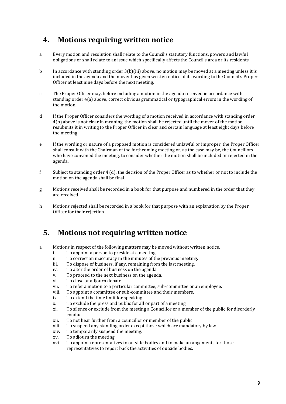#### **4. Motions requiring written notice**

- a Every motion and resolution shall relate to the Council's statutory functions, powers and lawful obligations or shall relate to an issue which specifically affects the Council's area or its residents.
- b In accordance with standing order 3(b)(iii) above, no motion may be moved at a meeting unless it is included in the agenda and the mover has given written notice of its wording to the Council's Proper Officer at least nine days before the next meeting.
- c The Proper Officer may, before including a motion in the agenda received in accordance with standing order 4(a) above, correct obvious grammatical or typographical errors in the wording of the motion.
- d If the Proper Officer considers the wording of a motion received in accordance with standing order 4(b) above is not clear in meaning, the motion shall be rejected until the mover of the motion resubmits it in writing to the Proper Officer in clear and certain language at least eight days before the meeting.
- e If the wording or nature of a proposed motion is considered unlawful or improper, the Proper Officer shall consult with the Chairman of the forthcoming meeting or, as the case may be, the Councillors who have convened the meeting, to consider whether the motion shall be included or rejected in the agenda.
- f Subject to standing order 4 (d), the decision of the Proper Officer as to whether or not to include the motion on the agenda shall be final.
- g Motions received shall be recorded in a book for that purpose and numbered in the order that they are received.
- h Motions rejected shall be recorded in a book for that purpose with an explanation by the Proper Officer for their rejection.

#### **5. Motions not requiring written notice**

- a Motions in respect of the following matters may be moved without written notice.
	- i. To appoint a person to preside at a meeting.
	- ii. To correct an inaccuracy in the minutes of the previous meeting.
	- iii. To dispose of business, if any, remaining from the last meeting.
	- iv. To alter the order of business on the agenda
	- v. To proceed to the next business on the agenda.
	- vi. To close or adjourn debate.
	- vii. To refer a motion to a particular committee, sub-committee or an employee.
	- viii. To appoint a committee or sub-committee and their members.
	- ix. To extend the time limit for speaking
	- x. To exclude the press and public for all or part of a meeting.
	- xi. To silence or exclude from the meeting a Councillor or a member of the public for disorderly conduct.
	- xii. To not hear further from a councillor or member of the public.
	- xiii. To suspend any standing order except those which are mandatory by law.
	- xiv. To temporarily suspend the meeting.
	- xv. To adjourn the meeting.
	- xvi. To appoint representatives to outside bodies and to make arrangements for those representatives to report back the activities of outside bodies.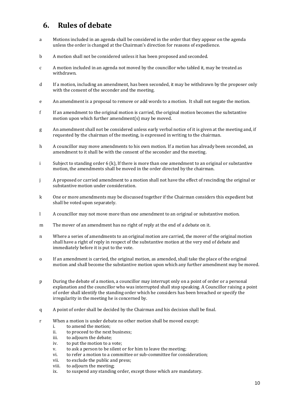#### **6. Rules of debate**

- a Motions included in an agenda shall be considered in the order that they appear on the agenda unless the order is changed at the Chairman's direction for reasons of expedience.
- b A motion shall not be considered unless it has been proposed and seconded.
- c A motion included in an agenda not moved by the councillor who tabled it, may be treated as withdrawn.
- d If a motion, including an amendment, has been seconded, it may be withdrawn by the proposer only with the consent of the seconder and the meeting.
- e An amendment is a proposal to remove or add words to a motion. It shall not negate the motion.
- f If an amendment to the original motion is carried, the original motion becomes the substantive motion upon which further amendment(s) may be moved.
- g An amendment shall not be considered unless early verbal notice of it is given at the meeting and, if requested by the chairman of the meeting, is expressed in writing to the chairman.
- h A councillor may move amendments to his own motion. If a motion has already been seconded, an amendment to it shall be with the consent of the seconder and the meeting.
- i Subject to standing order 6 (k), If there is more than one amendment to an original or substantive motion, the amendments shall be moved in the order directed by the chairman.
- j A proposed or carried amendment to a motion shall not have the effect of rescinding the original or substantive motion under consideration.
- k One or more amendments may be discussed together if the Chairman considers this expedient but shall be voted upon separately.
- l A councillor may not move more than one amendment to an original or substantive motion.
- m The mover of an amendment has no right of reply at the end of a debate on it.
- n Where a series of amendments to an original motion are carried, the mover of the original motion shall have a right of reply in respect of the substantive motion at the very end of debate and immediately before it is put to the vote.
- o If an amendment is carried, the original motion, as amended, shall take the place of the original motion and shall become the substantive motion upon which any further amendment may be moved.
- p During the debate of a motion, a councillor may interrupt only on a point of order or a personal explanation and the councillor who was interrupted shall stop speaking. A Councillor raising a point of order shall identify the standing order which he considers has been breached or specify the irregularity in the meeting he is concerned by.
- q A point of order shall be decided by the Chairman and his decision shall be final.
- r When a motion is under debate no other motion shall be moved except:
	- i. to amend the motion;
	- ii. to proceed to the next business;
	- iii. to adjourn the debate;
	- iv. to put the motion to a vote;
	- v. to ask a person to be silent or for him to leave the meeting;
	- vi. to refer a motion to a committee or sub-committee for consideration;
	- vii. to exclude the public and press;
	- viii. to adjourn the meeting;
	- ix. to suspend any standing order, except those which are mandatory.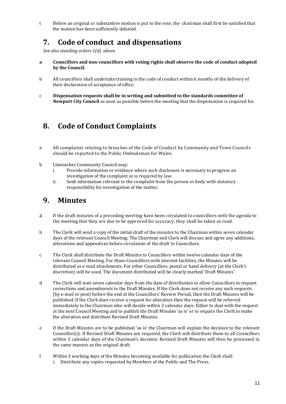t Before an original or substantive motion is put to the vote, the chairman shall first be satisfied that the motion has been sufficiently debated.

#### **7. Code of conduct and dispensations**

*See also standing orders 1(d) above*

- **a Councillors and non-councillors with voting rights shall observe the code of conduct adopted by the Council.**
- b All councillors shall undertake training in the code of conduct within 6 months of the delivery of their declaration of acceptance of office.
- c **Dispensation requests shall be in writing and submitted to the standards committee of Newport City Council** as soon as possible before the meeting that the dispensation is required for.

#### **8. Code of Conduct Complaints**

- a All complaints relating to breaches of the Code of Conduct by Community and Town Councils should be reported to the Public Ombudsman for Wales.
- b Llanvaches Community Council may:
	- i. Provide information or evidence where such disclosure is necessary to progress an investigation of the complaint or is required by law.
	- ii. Seek information relevant to the complaint from the person or body with statutory responsibility for investigation of the matter.

#### **9. Minutes**

- a If the draft minutes of a preceding meeting have been circulated to councillors with the agenda to the meeting that they are due to be approved for accuracy, they shall be taken as read.
- b The Clerk will send a copy of the initial draft of the minutes to the Chairman within seven calendar days of the relevant Council Meeting. The Chairman and Clerk will discuss and agree any additions, alterations and appendices before circulation of the draft to Councillors.
- c The Clerk shall distribute the Draft Minutes to Councillors within twelve calendar days of the relevant Council Meeting. For those Councillors with internet facilities, the Minutes will be distributed as e-mail attachments. For other Councillors, postal or hand delivery (at the Clerk's discretion) will be used. The document distributed will be clearly marked 'Draft Minutes'.
- d The Clerk will wait seven calendar days from the date of distribution to allow Councillors to request corrections and amendments to the Draft Minutes. If the Clerk does not receive any such requests (by e-mail or post) before the end of the Councillors' Review Period, then the Draft Minutes will be published. If the Clerk does receive a request for alteration then the request will be referred immediately to the Chairman who will decide within 3 calendar days: Either to deal with the request at the next Council Meeting and to publish the Draft Minutes 'as is' or to require the Clerk to make the alteration and distribute Revised Draft Minutes.
- e If the Draft Minutes are to be published 'as is' the Chairman will explain the decision to the relevant Councillor(s). If Revised Draft Minutes are required, the Clerk will distribute them to all Councillors within 3 calendar days of the Chairman's decision. Revised Draft Minutes will then be processed in the same manner as the original draft.
- f Within 3 working days of the Minutes becoming available for publication the Clerk shall: i. Distribute any copies requested by Members of the Public and The Press.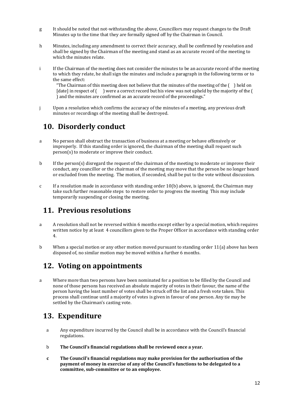- g It should be noted that not-withstanding the above, Councillors may request changes to the Draft Minutes up to the time that they are formally signed off by the Chairman in Council.
- h Minutes, including any amendment to correct their accuracy, shall be confirmed by resolution and shall be signed by the Chairman of the meeting and stand as an accurate record of the meeting to which the minutes relate.
- i If the Chairman of the meeting does not consider the minutes to be an accurate record of the meeting to which they relate, he shall sign the minutes and include a paragraph in the following terms or to the same effect:

"The Chairman of this meeting does not believe that the minutes of the meeting of the ( ) held on [date] in respect of () were a correct record but his view was not upheld by the majority of the ( ) and the minutes are confirmed as an accurate record of the proceedings."

j Upon a resolution which confirms the accuracy of the minutes of a meeting, any previous draft minutes or recordings of the meeting shall be destroyed.

#### **10. Disorderly conduct**

- a No person shall obstruct the transaction of business at a meeting or behave offensively or improperly. If this standing order is ignored, the chairman of the meeting shall request such person(s) to moderate or improve their conduct.
- b If the person(s) disregard the request of the chairman of the meeting to moderate or improve their conduct, any councillor or the chairman of the meeting may move that the person be no longer heard or excluded from the meeting. The motion, if seconded, shall be put to the vote without discussion.
- c If a resolution made in accordance with standing order 10(b) above, is ignored, the Chairman may take such further reasonable steps to restore order to progress the meeting This may include temporarily suspending or closing the meeting.

#### **11. Previous resolutions**

- a A resolution shall not be reversed within 6 months except either by a special motion, which requires written notice by at least 4 councillors given to the Proper Officer in accordance with standing order 4.
- b When a special motion or any other motion moved pursuant to standing order 11(a) above has been disposed of, no similar motion may be moved within a further 6 months.

#### **12. Voting on appointments**

a Where more than two persons have been nominated for a position to be filled by the Council and none of those persons has received an absolute majority of votes in their favour, the name of the person having the least number of votes shall be struck off the list and a fresh vote taken. This process shall continue until a majority of votes is given in favour of one person. Any tie may be settled by the Chairman's casting vote.

#### **13. Expenditure**

- a Any expenditure incurred by the Council shall be in accordance with the Council's financial regulations.
- b **The Council's financial regulations shall be reviewed once a year.**
- **c The Council's financial regulations may make provision for the authorisation of the payment of money in exercise of any of the Council's functions to be delegated to a committee, sub-committee or to an employee.**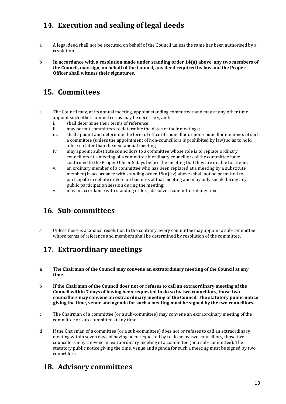### **14. Execution and sealing of legal deeds**

- a A legal deed shall not be executed on behalf of the Council unless the same has been authorised by a resolution.
- b **In accordance with a resolution made under standing order 14(a) above, any two members of the Council, may sign, on behalf of the Council, any deed required by law and the Proper Officer shall witness their signatures.**

### **15. Committees**

- a The Council may, at its annual meeting, appoint standing committees and may at any other time appoint such other committees as may be necessary, and:
	- i. shall determine their terms of reference;
	- ii. may permit committees to determine the dates of their meetings;
	- iii. shall appoint and determine the term of office of councillor or non-councillor members of such a committee (unless the appointment of non-councillors is prohibited by law) so as to hold office no later than the next annual meeting;
	- iv. may appoint substitute councillors to a committee whose role is to replace ordinary councillors at a meeting of a committee if ordinary councillors of the committee have confirmed to the Proper Officer 5 days before the meeting that they are unable to attend;
	- v. an ordinary member of a committee who has been replaced at a meeting by a substitute member (in accordance with standing order 15(a)(iv) above) shall not be permitted to participate in debate or vote on business at that meeting and may only speak during any public participation session during the meeting;
	- vi. may in accordance with standing orders, dissolve a committee at any time.

### **16. Sub-committees**

a Unless there is a Council resolution to the contrary, every committee may appoint a sub-committee whose terms of reference and members shall be determined by resolution of the committee.

### **17. Extraordinary meetings**

- **a The Chairman of the Council may convene an extraordinary meeting of the Council at any time.**
- b **If the Chairman of the Council does not or refuses to call an extraordinary meeting of the Council within 7 days of having been requested to do so by two councillors, those two councillors may convene an extraordinary meeting of the Council. The statutory public notice giving the time, venue and agenda for such a meeting must be signed by the two councillors.**
- c The Chairman of a committee (or a sub-committee) may convene an extraordinary meeting of the committee or sub-committee at any time.
- d If the Chairman of a committee (or a sub-committee) does not or refuses to call an extraordinary meeting within seven days of having been requested by to do so by two councillors, those two councillors may convene an extraordinary meeting of a committee (or a sub-committee). The statutory public notice giving the time, venue and agenda for such a meeting must be signed by two councillors.

#### **18. Advisory committees**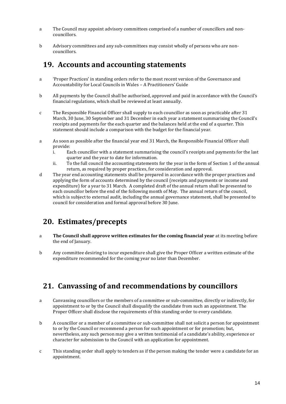- a The Council may appoint advisory committees comprised of a number of councillors and noncouncillors.
- b Advisory committees and any sub-committees may consist wholly of persons who are noncouncillors.

#### **19. Accounts and accounting statements**

- a 'Proper Practices' in standing orders refer to the most recent version of the Governance and Accountability for Local Councils in Wales – A Practitioners' Guide
- b All payments by the Council shall be authorised, approved and paid in accordance with the Council's financial regulations, which shall be reviewed at least annually.
- c The Responsible Financial Officer shall supply to each councillor as soon as practicable after 31 March, 30 June, 30 September and 31 December in each year a statement summarising the Council's receipts and payments for the each quarter and the balances held at the end of a quarter. This statement should include a comparison with the budget for the financial year.
- a As soon as possible after the financial year end 31 March, the Responsible Financial Officer shall provide:
	- i. Each councillor with a statement summarising the council's receipts and payments for the last quarter and the year to date for information.
	- ii. To the full council the accounting statements for the year in the form of Section 1 of the annual return, as required by proper practices, for consideration and approval.
- d The year end accounting statements shall be prepared in accordance with the proper practices and applying the form of accounts determined by the council (receipts and payments or income and expenditure) for a year to 31 March. A completed draft of the annual return shall be presented to each councillor before the end of the following month of May. The annual return of the council, which is subject to external audit, including the annual governance statement, shall be presented to council for consideration and formal approval before 30 June.

#### **20. Estimates/precepts**

- a **The Council shall approve written estimates for the coming financial year** at its meeting before the end of January.
- b Any committee desiring to incur expenditure shall give the Proper Officer a written estimate of the expenditure recommended for the coming year no later than December.

### **21. Canvassing of and recommendations by councillors**

- a Canvassing councillors or the members of a committee or sub-committee, directly or indirectly, for appointment to or by the Council shall disqualify the candidate from such an appointment. The Proper Officer shall disclose the requirements of this standing order to every candidate.
- b A councillor or a member of a committee or sub-committee shall not solicit a person for appointment to or by the Council or recommend a person for such appointment or for promotion; but, nevertheless, any such person may give a written testimonial of a candidate's ability, experience or character for submission to the Council with an application for appointment.
- c This standing order shall apply to tenders as if the person making the tender were a candidate for an appointment.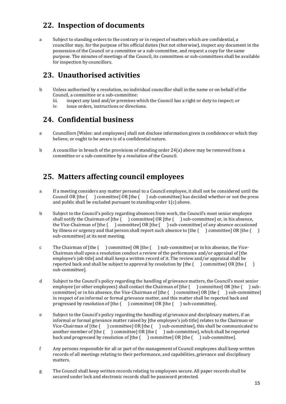### **22. Inspection of documents**

a Subject to standing orders to the contrary or in respect of matters which are confidential, a councillor may, for the purpose of his official duties (but not otherwise), inspect any document in the possession of the Council or a committee or a sub-committee, and request a copy for the same purpose. The minutes of meetings of the Council, its committees or sub-committees shall be available for inspection by councillors.

#### **23. Unauthorised activities**

- b Unless authorised by a resolution, no individual councillor shall in the name or on behalf of the Council, a committee or a sub-committee:
	- iii. inspect any land and/or premises which the Council has a right or duty to inspect; or
	- iv. issue orders, instructions or directions.

#### **24. Confidential business**

- a Councillors [Wales: and employees] shall not disclose information given in confidence or which they believe, or ought to be aware is of a confidential nature.
- b A councillor in breach of the provisions of standing order 24(a) above may be removed from a committee or a sub-committee by a resolution of the Council.

### **25. Matters affecting council employees**

- a If a meeting considers any matter personal to a Council employee, it shall not be considered until the Council OR [the ( ) committee] OR [the ( ) sub-committee] has decided whether or not the press and public shall be excluded pursuant to standing order 1(c) above.
- b Subject to the Council's policy regarding absences from work, the Council's most senior employee shall notify the Chairman of  $[the ( ) committed OR [the ( ) sub-committed or, in his absence, ]$ the Vice-Chairman of [the ( ) committee] OR [the ( ) sub-committee] of any absence occasioned by illness or urgency and that person shall report such absence to [the  $($ ) committee] OR [the  $($ ) sub-committee] at its next meeting.
- c The Chairman of [the ( ) committee] OR [the ( ) sub-committee] or in his absence, the Vice-Chairman shall upon a resolution conduct a review of the performance and/or appraisal of [the employee's job title] and shall keep a written record of it. The review and/or appraisal shall be reported back and shall be subject to approval by resolution by  $[the ($  ) committee] OR  $[the ( )$ sub-committee].
- d Subject to the Council's policy regarding the handling of grievance matters, the Council's most senior employee (or other employees) shall contact the Chairman of [the  $($  ) committee] OR [the  $($  ) subcommittee] or in his absence, the Vice-Chairman of [the ( ) committee] OR [the ( ) sub-committee] in respect of an informal or formal grievance matter, and this matter shall be reported back and progressed by resolution of [the ( ) committee] OR [the ( ) sub-committee].
- e Subject to the Council's policy regarding the handling of grievance and disciplinary matters, if an informal or formal grievance matter raised by [the employee's job title] relates to the Chairman or Vice-Chairman of [the ( ) committee] OR [the ( ) sub-committee], this shall be communicated to another member of [the ( ) committee] OR [the ( ) sub-committee], which shall be reported back and progressed by resolution of [the ( ) committee] OR [the ( ) sub-committee].
- f Any persons responsible for all or part of the management of Council employees shall keep written records of all meetings relating to their performance, and capabilities, grievance and disciplinary matters.
- g The Council shall keep written records relating to employees secure. All paper records shall be secured under lock and electronic records shall be password protected.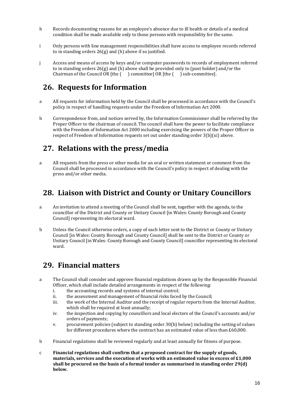- h Records documenting reasons for an employee's absence due to ill health or details of a medical condition shall be made available only to those persons with responsibility for the same.
- i Only persons with line management responsibilities shall have access to employee records referred to in standing orders 26(g) and (h) above if so justified.
- j Access and means of access by keys and/or computer passwords to records of employment referred to in standing orders  $26(g)$  and (h) above shall be provided only to (post holder) and/or the Chairman of the Council OR [the ( ) committee] OR [the ( ) sub-committee].

#### **26. Requests for Information**

- a All requests for information held by the Council shall be processed in accordance with the Council's policy in respect of handling requests under the Freedom of Information Act 2000.
- b Correspondence from, and notices served by, the Information Commissioner shall be referred by the Proper Officer to the chairman of council. The council shall have the power to facilitate compliance with the Freedom of Information Act 2000 including exercising the powers of the Proper Officer in respect of Freedom of Information requests set out under standing order 3(b)(xi) above.

#### **27. Relations with the press/media**

a All requests from the press or other media for an oral or written statement or comment from the Council shall be processed in accordance with the Council's policy in respect of dealing with the press and/or other media.

#### **28. Liaison with District and County or Unitary Councillors**

- a An invitation to attend a meeting of the Council shall be sent, together with the agenda, to the councillor of the District and County or Unitary Council [in Wales: County Borough and County Council] representing its electoral ward.
- b Unless the Council otherwise orders, a copy of each letter sent to the District or County or Unitary Council [in Wales: County Borough and County Council] shall be sent to the District or County or Unitary Council [in Wales: County Borough and County Council] councillor representing its electoral ward.

#### **29. Financial matters**

- a The Council shall consider and approve financial regulations drawn up by the Responsible Financial Officer, which shall include detailed arrangements in respect of the following:
	- i. the accounting records and systems of internal control;
	- ii. the assessment and management of financial risks faced by the Council;
	- iii. the work of the Internal Auditor and the receipt of regular reports from the Internal Auditor, which shall be required at least annually;
	- iv. the inspection and copying by councillors and local electors of the Council's accounts and/or orders of payments;
	- v. procurement policies (subject to standing order 30(b) below) including the setting of values for different procedures where the contract has an estimated value of less than £60,000.
- b Financial regulations shall be reviewed regularly and at least annually for fitness of purpose.
- c **Financial regulations shall confirm that a proposed contract for the supply of goods, materials, services and the execution of works with an estimated value in excess of £1,000 shall be procured on the basis of a formal tender as summarised in standing order 29(d) below.**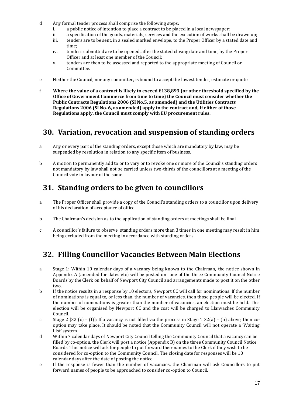- d Any formal tender process shall comprise the following steps:
	- i. a public notice of intention to place a contract to be placed in a local newspaper;
	- ii. a specification of the goods, materials, services and the execution of works shall be drawn up;
	- iii. tenders are to be sent, in a sealed marked envelope, to the Proper Officer by a stated date and time;
	- iv. tenders submitted are to be opened, after the stated closing date and time, by the Proper Officer and at least one member of the Council;
	- v. tenders are then to be assessed and reported to the appropriate meeting of Council or Committee.
- e Neither the Council, nor any committee, is bound to accept the lowest tender, estimate or quote.
- f **Where the value of a contract is likely to exceed £138,893 (or other threshold specified by the Office of Government Commerce from time to time) the Council must consider whether the Public Contracts Regulations 2006 (SI No.5, as amended) and the Utilities Contracts Regulations 2006 (SI No. 6, as amended) apply to the contract and, if either of those Regulations apply, the Council must comply with EU procurement rules.**

#### **30. Variation, revocation and suspension of standing orders**

- a Any or every part of the standing orders, except those which are mandatory by law, may be suspended by resolution in relation to any specific item of business.
- b A motion to permanently add to or to vary or to revoke one or more of the Council's standing orders not mandatory by law shall not be carried unless two-thirds of the councillors at a meeting of the Council vote in favour of the same.

#### **31. Standing orders to be given to councillors**

- a The Proper Officer shall provide a copy of the Council's standing orders to a councillor upon delivery of his declaration of acceptance of office.
- b The Chairman's decision as to the application of standing orders at meetings shall be final.
- c A councillor's failure to observe standing orders more than 3 times in one meeting may result in him being excluded from the meeting in accordance with standing orders.

#### **32. Filling Councillor Vacancies Between Main Elections**

- a Stage 1: Within 10 calendar days of a vacancy being known to the Chairman, the notice shown in Appendix A (amended for dates etc) will be posted on one of the three Community Council Notice Boards by the Clerk on behalf of Newport City Council and arrangements made to post it on the other two.
- b If the notice results in a response by 10 electors, Newport CC will call for nominations. If the number of nominations is equal to, or less than, the number of vacancies, then those people will be elected. If the number of nominations is greater than the number of vacancies, an election must be held. This election will be organised by Newport CC and the cost will be charged to Llanvaches Community Council.
- c Stage 2 [32 (c) (f)]: If a vacancy is not filled via the process in Stage 1 32(a) (b) above, then cooption may take place. It should be noted that the Community Council will not operate a 'Waiting List' system.
- d Within 7 calendar days of Newport City Council telling the Community Council that a vacancy can be filled by co-option, the Clerk will post a notice (Appendix B) on the three Community Council Notice Boards. This notice will ask for people to put forward their names to the Clerk if they wish to be considered for co-option to the Community Council. The closing date for responses will be 10 calendar days after the date of posting the notice
- e If the response is fewer than the number of vacancies, the Chairman will ask Councillors to put forward names of people to be approached to consider co-option to Council.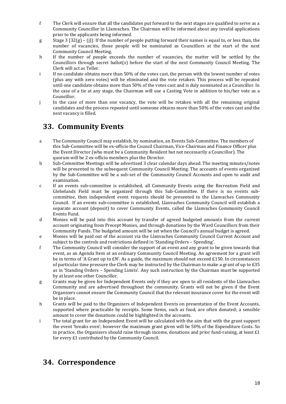- f The Clerk will ensure that all the candidates put forward to the next stages are qualified to serve as a Community Councillor in Llanvaches. The Chairman will be informed about any invalid applications prior to the applicants being informed.
- g Stage  $3 \left[ 32(g) (i) \right]$ : If the number of people putting forward their names is equal to, or less than, the number of vacancies, those people will be nominated as Councillors at the start of the next Community Council Meeting.
- h If the number of people exceeds the number of vacancies, the matter will be settled by the Councillors through secret ballot(s) before the start of the next Community Council Meeting. The Clerk will act as Teller.
- i If no candidate obtains more than 50% of the votes cast, the person with the lowest number of votes (plus any with zero votes) will be eliminated and the vote retaken. This process will be repeated until one candidate obtains more than 50% of the votes cast and is duly nominated as a Councillor. In the case of a tie at any stage, the Chairman will use a Casting Vote in addition to his/her vote as a Councillor.
- j In the case of more than one vacancy, the vote will be retaken with all the remaining original candidates and the process repeated until someone obtains more than 50% of the votes cast and the next vacancy is filled.

#### **33. Community Events**

- a The Community Council may establish, by nomination, an Events Sub-Committee. The members of this Sub-Committee will be ex-officio the Council Chairman, Vice-Chairman and Finance Officer plus the Event Director (who must be a Community Resident but not necessarily a Councillor). The quorum will be 2 ex-officio members plus the Director.
- b Sub-Committee Meetings will be advertised 3 clear calendar days ahead. The meeting minutes/notes will be presented to the subsequent Community Council Meeting. The accounts of events organized by the Sub-Committee will be a sub-set of the Community Council Accounts and open to audit and examination.
- c If an events sub-committee is established, all Community Events using the Recreation Field and Glebelands Field must be organized through this Sub-Committee. If there is no events subcommittee, then independent event requests should be presented to the Llanvaches Community Council. If an events sub-committee is established, Llanvaches Community Council will establish a separate account (deposit) to cover Community Events, called the Llanvaches Community Council Events Fund.
- d Monies will be paid into this account by transfer of agreed budgeted amounts from the current account originating from Precept Monies, and through donations by the Ward Councillors from their Community Funds. The budgeted amount will be set when the Council's annual budget is agreed.
- e Monies will be paid out of the account via the Llanvaches Community Council Current Account and subject to the controls and restrictions defined in 'Standing Orders – Spending'.
- f The Community Council will consider the support of an event and any grant to be given towards that event, as an Agenda Item at an ordinary Community Council Meeting. An agreement for a grant will be in terms of 'A Grant up to £N'. As a guide, the maximum should not exceed £150. In circumstances of particular time pressure the Clerk may be instructed by the Chairman to make a grant of up to £35 as in 'Standing Orders – Spending Limits'. Any such instruction by the Chairman must be supported by at least one other Councillor.
- g Grants may be given for Independent Events only if they are open to all residents of the Llanvaches Community and are advertised throughout the community. Grants will not be given if the Event Organizers cannot ensure the Community Council that the relevant insurance cover for the event will be in place.
- h Grants will be paid to the Organizers of Independent Events on presentation of the Event Accounts, supported where practicable by receipts. Some Items, such as food, are often donated; a sensible amount to cover the donations could be highlighted in the accounts.
- i The total grant for an Independent Event will be calculated with the aim that with the grant support the event 'breaks even'; however the maximum grant given will be 50% of the Expenditure Costs. So in practice, the Organizers should raise through income, donations and prior fund-raising, at least  $£1$ for every £1 contributed by the Community Council.

### **34. Correspondence**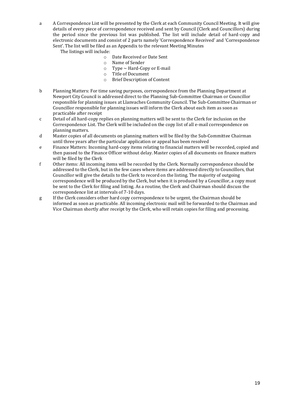a A Correspondence List will be presented by the Clerk at each Community Council Meeting. It will give details of every piece of correspondence received and sent by Council (Clerk and Councillors) during the period since the previous list was published. The list will include detail of hard-copy and electronic documents and consist of 2 parts namely 'Correspondence Received' and 'Correspondence Sent'. The list will be filed as an Appendix to the relevant Meeting Minutes

The listings will include:

- o Date Received or Date Sent
- o Name of Sender
- $\circ$  Type  $\sim$  Hard-Copy or E-mail
- o Title of Document
- o Brief Description of Content
- b Planning Matters: For time saving purposes, correspondence from the Planning Department at Newport City Council is addressed direct to the Planning Sub-Committee Chairman or Councillor responsible for planning issues at Llanvaches Community Council. The Sub-Committee Chairman or Councillor responsible for planning issues will inform the Clerk about each item as soon as practicable after receipt
- c Detail of all hard-copy replies on planning matters will be sent to the Clerk for inclusion on the Correspondence List. The Clerk will be included on the copy list of all e-mail correspondence on planning matters.
- d Master copies of all documents on planning matters will be filed by the Sub-Committee Chairman until three years after the particular application or appeal has been resolved
- e Finance Matters: Incoming hard-copy items relating to financial matters will be recorded, copied and then passed to the Finance Officer without delay. Master copies of all documents on finance matters will be filed by the Clerk
- f Other items: All incoming items will be recorded by the Clerk. Normally correspondence should be addressed to the Clerk, but in the few cases where items are addressed directly to Councillors, that Councillor will give the details to the Clerk to record on the listing. The majority of outgoing correspondence will be produced by the Clerk, but when it is produced by a Councillor, a copy must be sent to the Clerk for filing and listing. As a routine, the Clerk and Chairman should discuss the correspondence list at intervals of 7-10 days.
- g If the Clerk considers other hard copy correspondence to be urgent, the Chairman should be informed as soon as practicable. All incoming electronic mail will be forwarded to the Chairman and Vice Chairman shortly after receipt by the Clerk, who will retain copies for filing and processing.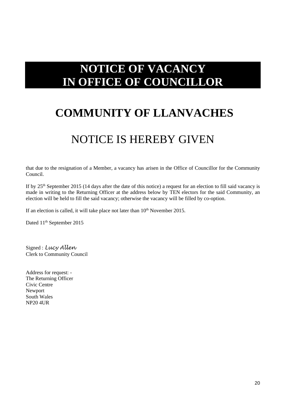## **NOTICE OF VACANCY IN OFFICE OF COUNCILLOR**

## **COMMUNITY OF LLANVACHES**

### NOTICE IS HEREBY GIVEN

that due to the resignation of a Member, a vacancy has arisen in the Office of Councillor for the Community Council.

If by 25<sup>th</sup> September 2015 (14 days after the date of this notice) a request for an election to fill said vacancy is made in writing to the Returning Officer at the address below by TEN electors for the said Community, an election will be held to fill the said vacancy; otherwise the vacancy will be filled by co-option.

If an election is called, it will take place not later than  $10<sup>th</sup>$  November 2015.

Dated 11<sup>th</sup> September 2015

Signed : *Lucy Allen* Clerk to Community Council

Address for request: - The Returning Officer Civic Centre Newport South Wales NP20 4UR